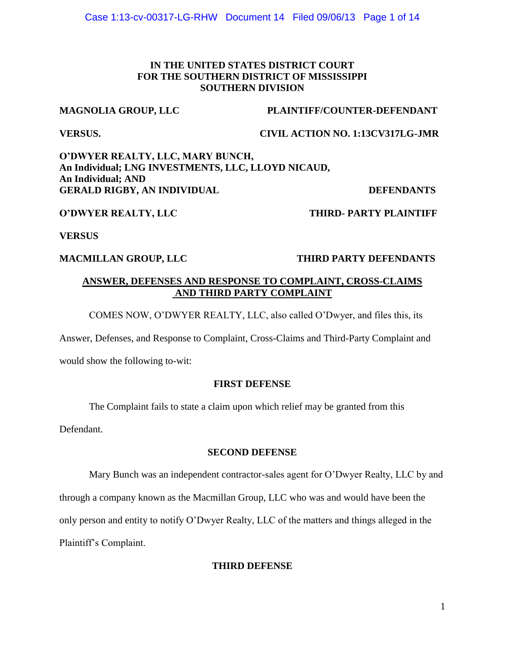## **IN THE UNITED STATES DISTRICT COURT FOR THE SOUTHERN DISTRICT OF MISSISSIPPI SOUTHERN DIVISION**

## **MAGNOLIA GROUP, LLC PLAINTIFF/COUNTER-DEFENDANT**

**VERSUS. CIVIL ACTION NO. 1:13CV317LG-JMR**

**O'DWYER REALTY, LLC, MARY BUNCH, An Individual; LNG INVESTMENTS, LLC, LLOYD NICAUD, An Individual; AND** GERALD RIGBY, AN INDIVIDUAL DEFENDANTS

## **O'DWYER REALTY, LLC THIRD- PARTY PLAINTIFF**

## **VERSUS**

## **MACMILLAN GROUP, LLC THIRD PARTY DEFENDANTS**

## **ANSWER, DEFENSES AND RESPONSE TO COMPLAINT, CROSS-CLAIMS AND THIRD PARTY COMPLAINT**

COMES NOW, O'DWYER REALTY, LLC, also called O'Dwyer, and files this, its

Answer, Defenses, and Response to Complaint, Cross-Claims and Third-Party Complaint and

would show the following to-wit:

## **FIRST DEFENSE**

The Complaint fails to state a claim upon which relief may be granted from this

Defendant.

## **SECOND DEFENSE**

Mary Bunch was an independent contractor-sales agent for O'Dwyer Realty, LLC by and through a company known as the Macmillan Group, LLC who was and would have been the only person and entity to notify O'Dwyer Realty, LLC of the matters and things alleged in the Plaintiff's Complaint.

## **THIRD DEFENSE**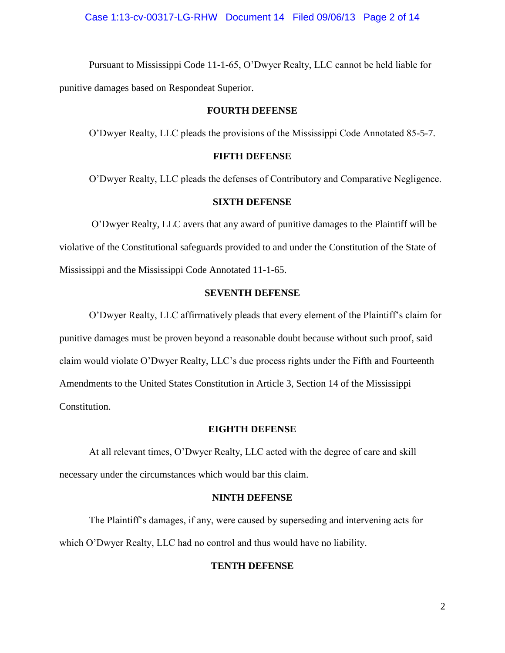Pursuant to Mississippi Code 11-1-65, O'Dwyer Realty, LLC cannot be held liable for punitive damages based on Respondeat Superior.

### **FOURTH DEFENSE**

O'Dwyer Realty, LLC pleads the provisions of the Mississippi Code Annotated 85-5-7.

#### **FIFTH DEFENSE**

O'Dwyer Realty, LLC pleads the defenses of Contributory and Comparative Negligence.

#### **SIXTH DEFENSE**

O'Dwyer Realty, LLC avers that any award of punitive damages to the Plaintiff will be violative of the Constitutional safeguards provided to and under the Constitution of the State of Mississippi and the Mississippi Code Annotated 11-1-65.

### **SEVENTH DEFENSE**

O'Dwyer Realty, LLC affirmatively pleads that every element of the Plaintiff's claim for punitive damages must be proven beyond a reasonable doubt because without such proof, said claim would violate O'Dwyer Realty, LLC's due process rights under the Fifth and Fourteenth Amendments to the United States Constitution in Article 3, Section 14 of the Mississippi Constitution.

#### **EIGHTH DEFENSE**

At all relevant times, O'Dwyer Realty, LLC acted with the degree of care and skill necessary under the circumstances which would bar this claim.

#### **NINTH DEFENSE**

The Plaintiff's damages, if any, were caused by superseding and intervening acts for which O'Dwyer Realty, LLC had no control and thus would have no liability.

#### **TENTH DEFENSE**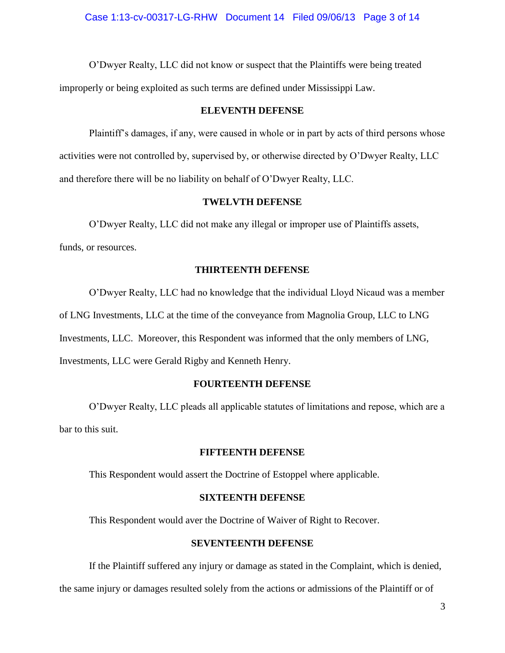O'Dwyer Realty, LLC did not know or suspect that the Plaintiffs were being treated improperly or being exploited as such terms are defined under Mississippi Law.

#### **ELEVENTH DEFENSE**

Plaintiff's damages, if any, were caused in whole or in part by acts of third persons whose activities were not controlled by, supervised by, or otherwise directed by O'Dwyer Realty, LLC and therefore there will be no liability on behalf of O'Dwyer Realty, LLC.

### **TWELVTH DEFENSE**

O'Dwyer Realty, LLC did not make any illegal or improper use of Plaintiffs assets,

funds, or resources.

### **THIRTEENTH DEFENSE**

O'Dwyer Realty, LLC had no knowledge that the individual Lloyd Nicaud was a member of LNG Investments, LLC at the time of the conveyance from Magnolia Group, LLC to LNG Investments, LLC. Moreover, this Respondent was informed that the only members of LNG,

Investments, LLC were Gerald Rigby and Kenneth Henry.

#### **FOURTEENTH DEFENSE**

O'Dwyer Realty, LLC pleads all applicable statutes of limitations and repose, which are a bar to this suit.

#### **FIFTEENTH DEFENSE**

This Respondent would assert the Doctrine of Estoppel where applicable.

#### **SIXTEENTH DEFENSE**

This Respondent would aver the Doctrine of Waiver of Right to Recover.

### **SEVENTEENTH DEFENSE**

If the Plaintiff suffered any injury or damage as stated in the Complaint, which is denied,

the same injury or damages resulted solely from the actions or admissions of the Plaintiff or of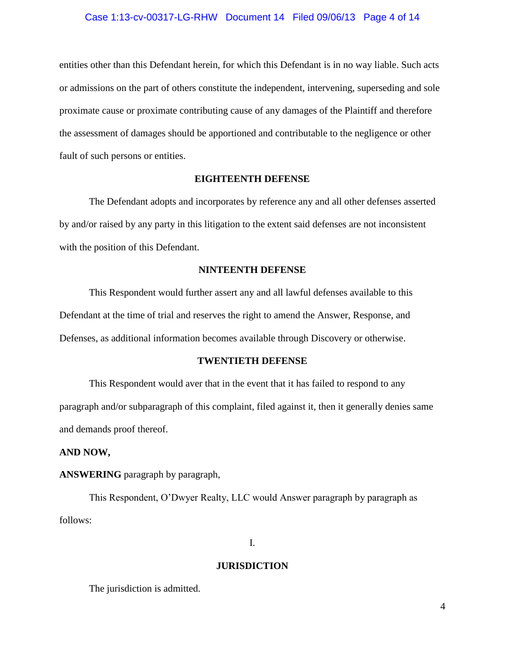#### Case 1:13-cv-00317-LG-RHW Document 14 Filed 09/06/13 Page 4 of 14

entities other than this Defendant herein, for which this Defendant is in no way liable. Such acts or admissions on the part of others constitute the independent, intervening, superseding and sole proximate cause or proximate contributing cause of any damages of the Plaintiff and therefore the assessment of damages should be apportioned and contributable to the negligence or other fault of such persons or entities.

#### **EIGHTEENTH DEFENSE**

The Defendant adopts and incorporates by reference any and all other defenses asserted by and/or raised by any party in this litigation to the extent said defenses are not inconsistent with the position of this Defendant.

#### **NINTEENTH DEFENSE**

This Respondent would further assert any and all lawful defenses available to this Defendant at the time of trial and reserves the right to amend the Answer, Response, and Defenses, as additional information becomes available through Discovery or otherwise.

#### **TWENTIETH DEFENSE**

This Respondent would aver that in the event that it has failed to respond to any paragraph and/or subparagraph of this complaint, filed against it, then it generally denies same and demands proof thereof.

#### **AND NOW,**

### **ANSWERING** paragraph by paragraph,

This Respondent, O'Dwyer Realty, LLC would Answer paragraph by paragraph as follows:

I.

#### **JURISDICTION**

The jurisdiction is admitted.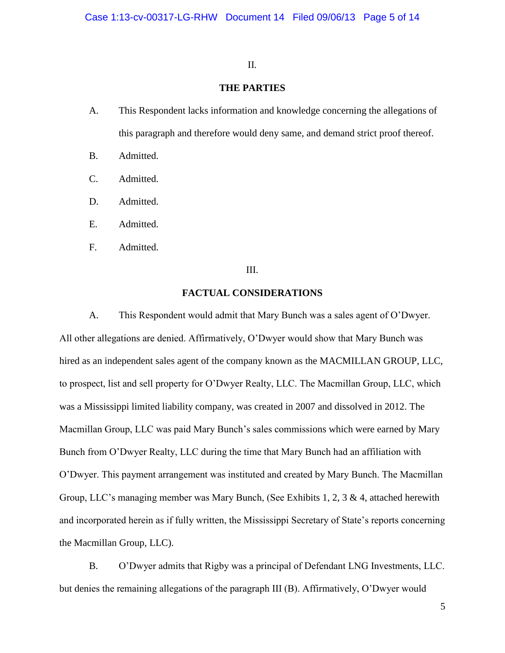#### II.

## **THE PARTIES**

- A. This Respondent lacks information and knowledge concerning the allegations of this paragraph and therefore would deny same, and demand strict proof thereof.
- B. Admitted.
- C. Admitted.
- D. Admitted.
- E. Admitted.
- F. Admitted.

## III.

#### **FACTUAL CONSIDERATIONS**

A. This Respondent would admit that Mary Bunch was a sales agent of O'Dwyer. All other allegations are denied. Affirmatively, O'Dwyer would show that Mary Bunch was hired as an independent sales agent of the company known as the MACMILLAN GROUP, LLC, to prospect, list and sell property for O'Dwyer Realty, LLC. The Macmillan Group, LLC, which was a Mississippi limited liability company, was created in 2007 and dissolved in 2012. The Macmillan Group, LLC was paid Mary Bunch's sales commissions which were earned by Mary Bunch from O'Dwyer Realty, LLC during the time that Mary Bunch had an affiliation with O'Dwyer. This payment arrangement was instituted and created by Mary Bunch. The Macmillan Group, LLC's managing member was Mary Bunch, (See Exhibits 1, 2, 3 & 4, attached herewith and incorporated herein as if fully written, the Mississippi Secretary of State's reports concerning the Macmillan Group, LLC).

B. O'Dwyer admits that Rigby was a principal of Defendant LNG Investments, LLC. but denies the remaining allegations of the paragraph III (B). Affirmatively, O'Dwyer would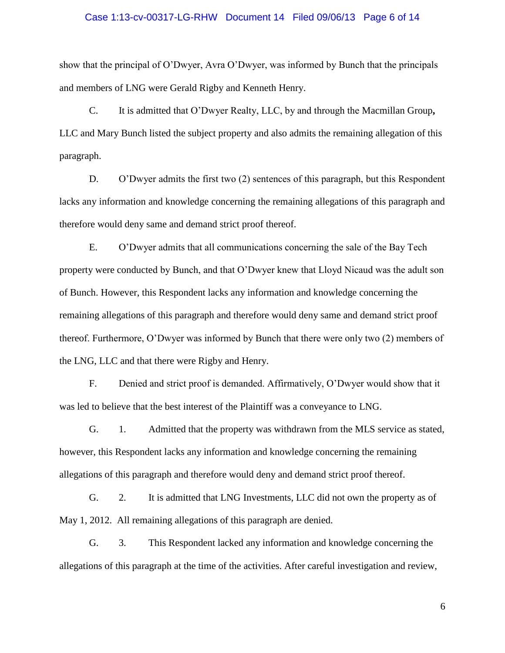#### Case 1:13-cv-00317-LG-RHW Document 14 Filed 09/06/13 Page 6 of 14

show that the principal of O'Dwyer, Avra O'Dwyer, was informed by Bunch that the principals and members of LNG were Gerald Rigby and Kenneth Henry.

C. It is admitted that O'Dwyer Realty, LLC, by and through the Macmillan Group**,**  LLC and Mary Bunch listed the subject property and also admits the remaining allegation of this paragraph.

D. O'Dwyer admits the first two (2) sentences of this paragraph, but this Respondent lacks any information and knowledge concerning the remaining allegations of this paragraph and therefore would deny same and demand strict proof thereof.

E. O'Dwyer admits that all communications concerning the sale of the Bay Tech property were conducted by Bunch, and that O'Dwyer knew that Lloyd Nicaud was the adult son of Bunch. However, this Respondent lacks any information and knowledge concerning the remaining allegations of this paragraph and therefore would deny same and demand strict proof thereof. Furthermore, O'Dwyer was informed by Bunch that there were only two (2) members of the LNG, LLC and that there were Rigby and Henry.

F. Denied and strict proof is demanded. Affirmatively, O'Dwyer would show that it was led to believe that the best interest of the Plaintiff was a conveyance to LNG.

G. 1. Admitted that the property was withdrawn from the MLS service as stated, however, this Respondent lacks any information and knowledge concerning the remaining allegations of this paragraph and therefore would deny and demand strict proof thereof.

G. 2. It is admitted that LNG Investments, LLC did not own the property as of May 1, 2012. All remaining allegations of this paragraph are denied.

G. 3. This Respondent lacked any information and knowledge concerning the allegations of this paragraph at the time of the activities. After careful investigation and review,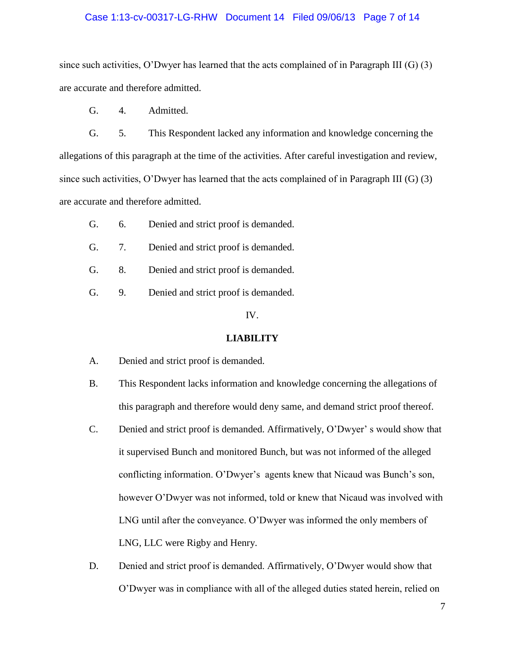#### Case 1:13-cv-00317-LG-RHW Document 14 Filed 09/06/13 Page 7 of 14

since such activities, O'Dwyer has learned that the acts complained of in Paragraph III (G) (3) are accurate and therefore admitted.

G. 4. Admitted.

G. 5. This Respondent lacked any information and knowledge concerning the allegations of this paragraph at the time of the activities. After careful investigation and review, since such activities, O'Dwyer has learned that the acts complained of in Paragraph III (G) (3) are accurate and therefore admitted.

- G. 6. Denied and strict proof is demanded.
- G. 7. Denied and strict proof is demanded.
- G. 8. Denied and strict proof is demanded.
- G. 9. Denied and strict proof is demanded.

IV.

#### **LIABILITY**

- A. Denied and strict proof is demanded.
- B. This Respondent lacks information and knowledge concerning the allegations of this paragraph and therefore would deny same, and demand strict proof thereof.
- C. Denied and strict proof is demanded. Affirmatively, O'Dwyer' s would show that it supervised Bunch and monitored Bunch, but was not informed of the alleged conflicting information. O'Dwyer's agents knew that Nicaud was Bunch's son, however O'Dwyer was not informed, told or knew that Nicaud was involved with LNG until after the conveyance. O'Dwyer was informed the only members of LNG, LLC were Rigby and Henry.
- D. Denied and strict proof is demanded. Affirmatively, O'Dwyer would show that O'Dwyer was in compliance with all of the alleged duties stated herein, relied on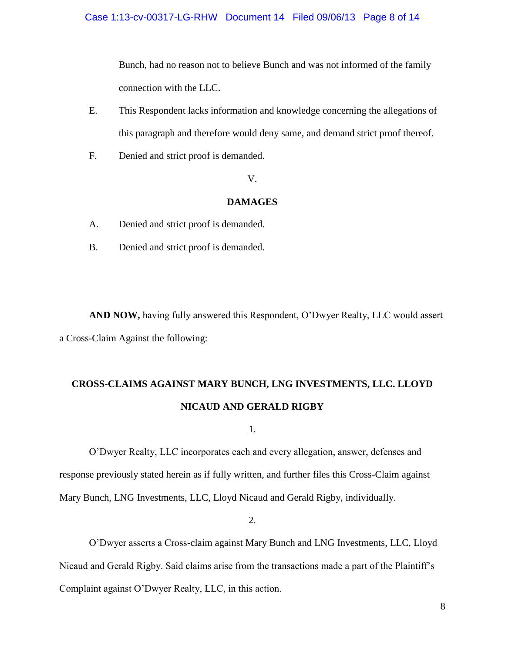Bunch, had no reason not to believe Bunch and was not informed of the family connection with the LLC.

- E. This Respondent lacks information and knowledge concerning the allegations of this paragraph and therefore would deny same, and demand strict proof thereof.
- F. Denied and strict proof is demanded.

V.

#### **DAMAGES**

- A. Denied and strict proof is demanded.
- B. Denied and strict proof is demanded.

**AND NOW,** having fully answered this Respondent, O'Dwyer Realty, LLC would assert a Cross-Claim Against the following:

# **CROSS-CLAIMS AGAINST MARY BUNCH, LNG INVESTMENTS, LLC. LLOYD NICAUD AND GERALD RIGBY**

1.

O'Dwyer Realty, LLC incorporates each and every allegation, answer, defenses and response previously stated herein as if fully written, and further files this Cross-Claim against Mary Bunch, LNG Investments, LLC, Lloyd Nicaud and Gerald Rigby, individually.

2.

O'Dwyer asserts a Cross-claim against Mary Bunch and LNG Investments, LLC, Lloyd Nicaud and Gerald Rigby. Said claims arise from the transactions made a part of the Plaintiff's Complaint against O'Dwyer Realty, LLC, in this action.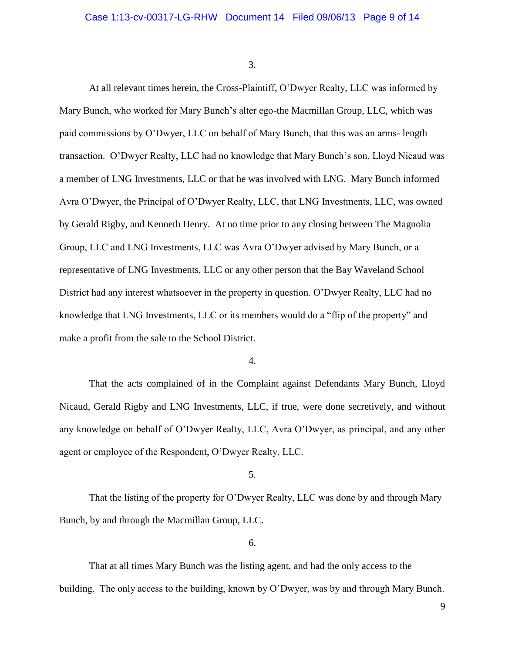3.

At all relevant times herein, the Cross-Plaintiff, O'Dwyer Realty, LLC was informed by Mary Bunch, who worked for Mary Bunch's alter ego-the Macmillan Group, LLC, which was paid commissions by O'Dwyer, LLC on behalf of Mary Bunch, that this was an arms- length transaction. O'Dwyer Realty, LLC had no knowledge that Mary Bunch's son, Lloyd Nicaud was a member of LNG Investments, LLC or that he was involved with LNG. Mary Bunch informed Avra O'Dwyer, the Principal of O'Dwyer Realty, LLC, that LNG Investments, LLC, was owned by Gerald Rigby, and Kenneth Henry. At no time prior to any closing between The Magnolia Group, LLC and LNG Investments, LLC was Avra O'Dwyer advised by Mary Bunch, or a representative of LNG Investments, LLC or any other person that the Bay Waveland School District had any interest whatsoever in the property in question. O'Dwyer Realty, LLC had no knowledge that LNG Investments, LLC or its members would do a "flip of the property" and make a profit from the sale to the School District.

4.

That the acts complained of in the Complaint against Defendants Mary Bunch, Lloyd Nicaud, Gerald Rigby and LNG Investments, LLC, if true, were done secretively, and without any knowledge on behalf of O'Dwyer Realty, LLC, Avra O'Dwyer, as principal, and any other agent or employee of the Respondent, O'Dwyer Realty, LLC.

5.

That the listing of the property for O'Dwyer Realty, LLC was done by and through Mary Bunch, by and through the Macmillan Group, LLC.

6.

That at all times Mary Bunch was the listing agent, and had the only access to the building. The only access to the building, known by O'Dwyer, was by and through Mary Bunch.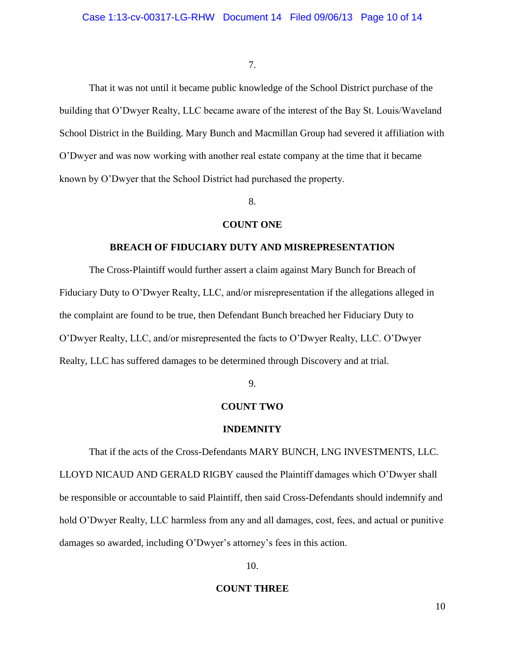#### 7.

That it was not until it became public knowledge of the School District purchase of the building that O'Dwyer Realty, LLC became aware of the interest of the Bay St. Louis/Waveland School District in the Building. Mary Bunch and Macmillan Group had severed it affiliation with O'Dwyer and was now working with another real estate company at the time that it became known by O'Dwyer that the School District had purchased the property.

8.

#### **COUNT ONE**

## **BREACH OF FIDUCIARY DUTY AND MISREPRESENTATION**

The Cross-Plaintiff would further assert a claim against Mary Bunch for Breach of Fiduciary Duty to O'Dwyer Realty, LLC, and/or misrepresentation if the allegations alleged in the complaint are found to be true, then Defendant Bunch breached her Fiduciary Duty to O'Dwyer Realty, LLC, and/or misrepresented the facts to O'Dwyer Realty, LLC. O'Dwyer Realty, LLC has suffered damages to be determined through Discovery and at trial.

### 9.

#### **COUNT TWO**

#### **INDEMNITY**

That if the acts of the Cross-Defendants MARY BUNCH, LNG INVESTMENTS, LLC. LLOYD NICAUD AND GERALD RIGBY caused the Plaintiff damages which O'Dwyer shall be responsible or accountable to said Plaintiff, then said Cross-Defendants should indemnify and hold O'Dwyer Realty, LLC harmless from any and all damages, cost, fees, and actual or punitive damages so awarded, including O'Dwyer's attorney's fees in this action.

#### 10.

#### **COUNT THREE**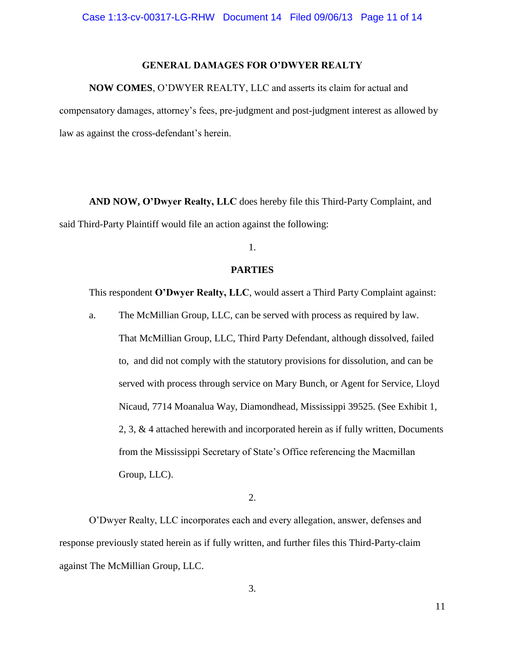## **GENERAL DAMAGES FOR O'DWYER REALTY**

#### **NOW COMES**, O'DWYER REALTY, LLC and asserts its claim for actual and

compensatory damages, attorney's fees, pre-judgment and post-judgment interest as allowed by law as against the cross-defendant's herein.

**AND NOW, O'Dwyer Realty, LLC** does hereby file this Third-Party Complaint, and said Third-Party Plaintiff would file an action against the following:

1.

### **PARTIES**

This respondent **O'Dwyer Realty, LLC**, would assert a Third Party Complaint against:

a. The McMillian Group, LLC, can be served with process as required by law. That McMillian Group, LLC, Third Party Defendant, although dissolved, failed to, and did not comply with the statutory provisions for dissolution, and can be served with process through service on Mary Bunch, or Agent for Service, Lloyd Nicaud, 7714 Moanalua Way, Diamondhead, Mississippi 39525. (See Exhibit 1, 2, 3, & 4 attached herewith and incorporated herein as if fully written, Documents from the Mississippi Secretary of State's Office referencing the Macmillan Group, LLC).

2.

O'Dwyer Realty, LLC incorporates each and every allegation, answer, defenses and response previously stated herein as if fully written, and further files this Third-Party-claim against The McMillian Group, LLC.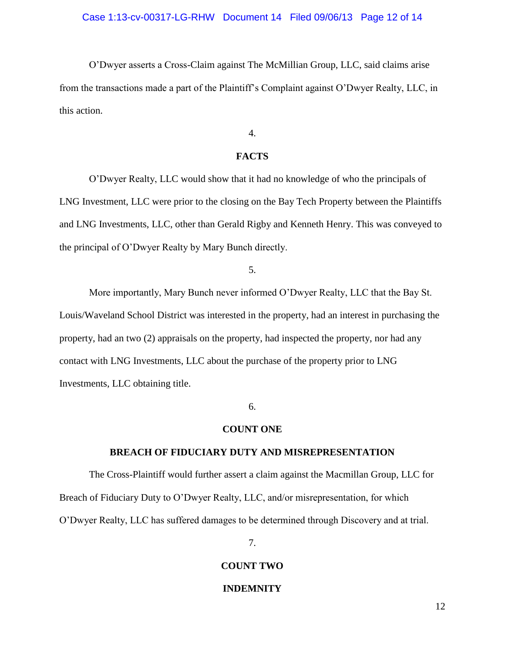#### Case 1:13-cv-00317-LG-RHW Document 14 Filed 09/06/13 Page 12 of 14

O'Dwyer asserts a Cross-Claim against The McMillian Group, LLC, said claims arise from the transactions made a part of the Plaintiff's Complaint against O'Dwyer Realty, LLC, in this action.

## 4.

## **FACTS**

O'Dwyer Realty, LLC would show that it had no knowledge of who the principals of LNG Investment, LLC were prior to the closing on the Bay Tech Property between the Plaintiffs and LNG Investments, LLC, other than Gerald Rigby and Kenneth Henry. This was conveyed to the principal of O'Dwyer Realty by Mary Bunch directly.

## 5.

More importantly, Mary Bunch never informed O'Dwyer Realty, LLC that the Bay St. Louis/Waveland School District was interested in the property, had an interest in purchasing the property, had an two (2) appraisals on the property, had inspected the property, nor had any contact with LNG Investments, LLC about the purchase of the property prior to LNG Investments, LLC obtaining title.

## 6.

#### **COUNT ONE**

#### **BREACH OF FIDUCIARY DUTY AND MISREPRESENTATION**

The Cross-Plaintiff would further assert a claim against the Macmillan Group, LLC for Breach of Fiduciary Duty to O'Dwyer Realty, LLC, and/or misrepresentation, for which O'Dwyer Realty, LLC has suffered damages to be determined through Discovery and at trial.

7.

#### **COUNT TWO**

#### **INDEMNITY**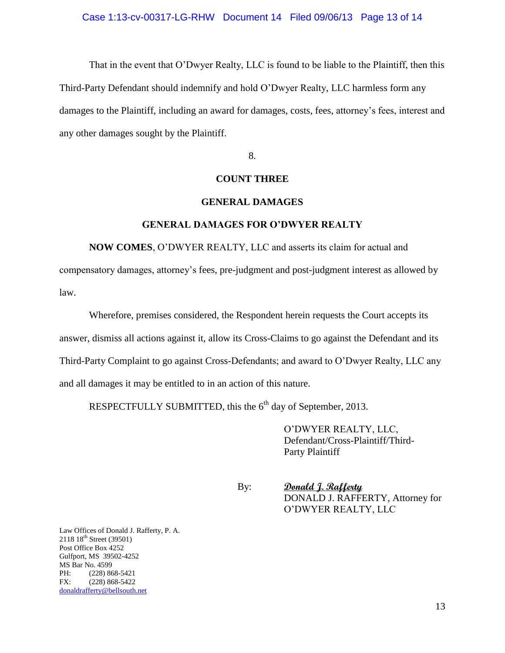That in the event that O'Dwyer Realty, LLC is found to be liable to the Plaintiff, then this Third-Party Defendant should indemnify and hold O'Dwyer Realty, LLC harmless form any damages to the Plaintiff, including an award for damages, costs, fees, attorney's fees, interest and any other damages sought by the Plaintiff.

8.

### **COUNT THREE**

#### **GENERAL DAMAGES**

#### **GENERAL DAMAGES FOR O'DWYER REALTY**

**NOW COMES**, O'DWYER REALTY, LLC and asserts its claim for actual and compensatory damages, attorney's fees, pre-judgment and post-judgment interest as allowed by law.

Wherefore, premises considered, the Respondent herein requests the Court accepts its answer, dismiss all actions against it, allow its Cross-Claims to go against the Defendant and its Third-Party Complaint to go against Cross-Defendants; and award to O'Dwyer Realty, LLC any and all damages it may be entitled to in an action of this nature.

RESPECTFULLY SUBMITTED, this the  $6<sup>th</sup>$  day of September, 2013.

O'DWYER REALTY, LLC, Defendant/Cross-Plaintiff/Third-Party Plaintiff

By: **Donald J. Rafferty** DONALD J. RAFFERTY, Attorney for O'DWYER REALTY, LLC

Law Offices of Donald J. Rafferty, P. A. 2118 18<sup>th</sup> Street (39501) Post Office Box 4252 Gulfport, MS 39502-4252 MS Bar No. 4599 PH: (228) 868-5421 FX: (228) 868-5422 [donaldrafferty@bellsouth.net](mailto:donaldrafferty@bellsouth.net)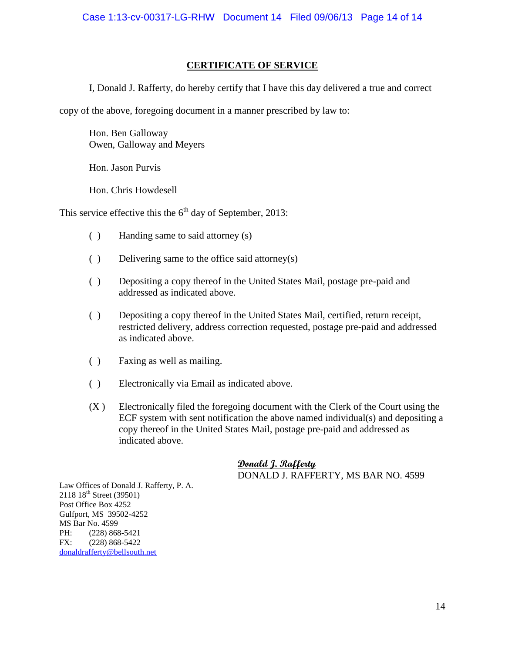## **CERTIFICATE OF SERVICE**

I, Donald J. Rafferty, do hereby certify that I have this day delivered a true and correct

copy of the above, foregoing document in a manner prescribed by law to:

Hon. Ben Galloway Owen, Galloway and Meyers

Hon. Jason Purvis

Hon. Chris Howdesell

This service effective this the  $6<sup>th</sup>$  day of September, 2013:

- ( ) Handing same to said attorney (s)
- ( ) Delivering same to the office said attorney(s)
- ( ) Depositing a copy thereof in the United States Mail, postage pre-paid and addressed as indicated above.
- ( ) Depositing a copy thereof in the United States Mail, certified, return receipt, restricted delivery, address correction requested, postage pre-paid and addressed as indicated above.
- ( ) Faxing as well as mailing.
- ( ) Electronically via Email as indicated above.
- (X ) Electronically filed the foregoing document with the Clerk of the Court using the ECF system with sent notification the above named individual(s) and depositing a copy thereof in the United States Mail, postage pre-paid and addressed as indicated above.

**Donald J. Rafferty** DONALD J. RAFFERTY, MS BAR NO. 4599

Law Offices of Donald J. Rafferty, P. A.  $2118\ 18^{th}$  Street (39501) Post Office Box 4252 Gulfport, MS 39502-4252 MS Bar No. 4599 PH: (228) 868-5421 FX: (228) 868-5422 [donaldrafferty@bellsouth.net](mailto:donaldrafferty@bellsouth.net)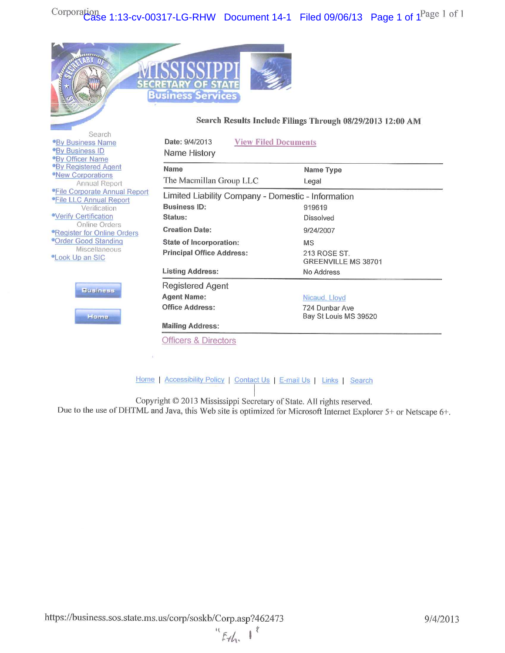

#### Search Results Include Filings Through 08/29/2013 12:00 AM

| Search<br><b>By Business Name</b><br><b>By Business ID</b><br><b>By Officer Name</b><br><b>By Registered Agent</b><br><b>•New Corporations</b><br>Annual Report<br><b>•File Corporate Annual Report</b><br><b>•File LLC Annual Report</b><br>Verification<br><b>•Verify Certification</b><br>Online Orders<br><b>•Register for Online Orders</b><br><sup>o</sup> Order Good Standing<br><b>Miscellaneous</b><br><b>•Look Up an SIC</b><br>Business<br>Heme | Date: 9/4/2013<br><b>View Filed Documents</b><br>Name History                                                                                                                                    |                                                                                                           |
|------------------------------------------------------------------------------------------------------------------------------------------------------------------------------------------------------------------------------------------------------------------------------------------------------------------------------------------------------------------------------------------------------------------------------------------------------------|--------------------------------------------------------------------------------------------------------------------------------------------------------------------------------------------------|-----------------------------------------------------------------------------------------------------------|
|                                                                                                                                                                                                                                                                                                                                                                                                                                                            | Name<br>The Macmillan Group LLC                                                                                                                                                                  | Name Type<br>Legal                                                                                        |
|                                                                                                                                                                                                                                                                                                                                                                                                                                                            | Limited Liability Company - Domestic - Information<br>Business ID:<br>Status:<br><b>Creation Date:</b><br>State of Incorporation:<br><b>Principal Office Address:</b><br><b>Listing Address:</b> | 919619<br><b>Dissolved</b><br>9/24/2007<br><b>MS</b><br>213 ROSE ST.<br>GREENVILLE MS 38701<br>No Address |
|                                                                                                                                                                                                                                                                                                                                                                                                                                                            | Registered Agent<br><b>Agent Name:</b><br><b>Office Address:</b><br><b>Mailing Address:</b><br><b>Officers &amp; Directors</b>                                                                   | Nicaud, Lloyd<br>724 Dunbar Ave<br>Bay St Louis MS 39520                                                  |

Home | Accessibility Policy | Contact Us | E-mail Us | Links | Search

Copyright © 2013 Mississippi Secretary of State. All rights reserved.

Due to the use of DHTML and Java, this Web site is optimized for Microsoft Internet Explorer 5+ or Netscape 6+.

 $454.1$ 

 $\ell$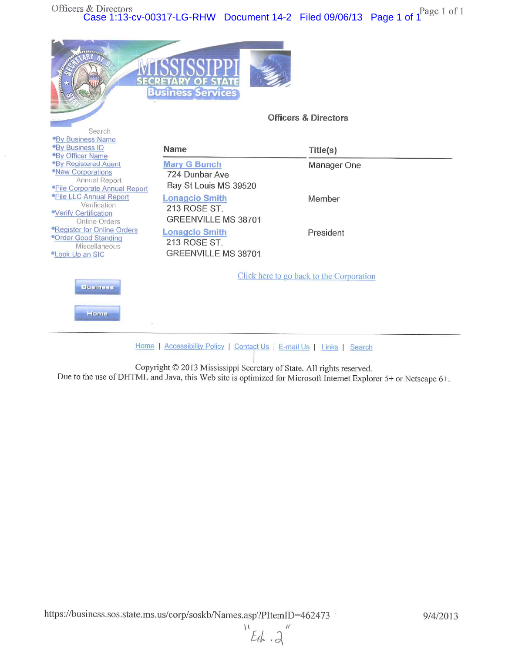

Copyright © 2013 Mississippi Secretary of State. All rights reserved. Due to the use of DHTML and Java, this Web site is optimized for Microsoft Internet Explorer 5+ or Netscape 6+.

 $\frac{1}{2}$  $Eth.3$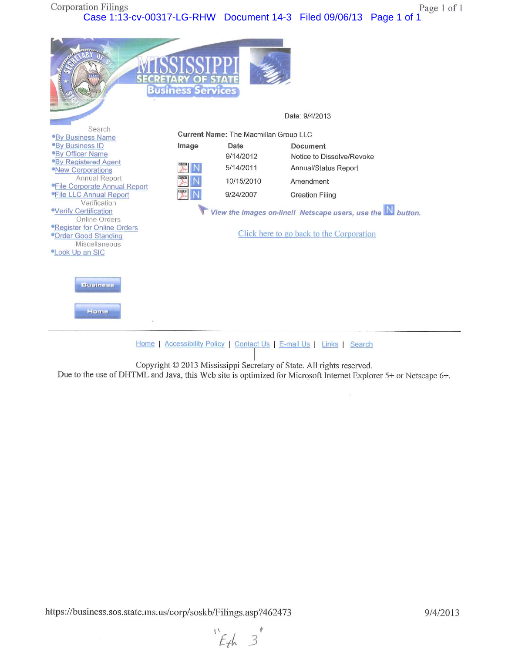**Corporation Filings** Page 1 of 1 Case 1:13-cv-00317-LG-RHW Document 14-3 Filed 09/06/13 Page 1 of 1

|                                                                                                                                                                                                                                                                                                                                                                                                                                                                  | <b>Business Services</b>          |                                                                                                           | Date: 9/4/2013                                                                                                                                                                                                       |
|------------------------------------------------------------------------------------------------------------------------------------------------------------------------------------------------------------------------------------------------------------------------------------------------------------------------------------------------------------------------------------------------------------------------------------------------------------------|-----------------------------------|-----------------------------------------------------------------------------------------------------------|----------------------------------------------------------------------------------------------------------------------------------------------------------------------------------------------------------------------|
| Search<br><b>By Business Name</b><br><b>By Business ID</b><br><b>By Officer Name</b><br><b>By Registered Agent</b><br><b>•New Corporations</b><br><b>Annual Report</b><br><b>•File Corporate Annual Report</b><br><b>*File LLC Annual Report</b><br>Verification<br><b>Verify Certification</b><br>Online Orders<br><b>•Register for Online Orders</b><br><sup>o</sup> Order Good Standing<br>Miscellaneous<br><b><i>•Look Up an SIC</i></b><br>Business<br>Home | Image<br>EQE<br><b>EXOCA</b><br>媐 | <b>Current Name: The Macmillan Group LLC</b><br>Date<br>9/14/2012<br>5/14/2011<br>10/15/2010<br>9/24/2007 | <b>Document</b><br>Notice to Dissolve/Revoke<br>Annual/Status Report<br>Amendment<br><b>Creation Filing</b><br>View the images on-line!! Netscape users, use the Nutton.<br>Click here to go back to the Corporation |
| Home   Accessibility Policy   Contact Us   E-mail Us   Links  <br>Search                                                                                                                                                                                                                                                                                                                                                                                         |                                   |                                                                                                           |                                                                                                                                                                                                                      |

Copyright © 2013 Mississippi Secretary of State. All rights reserved.<br>Due to the use of DHTML and Java, this Web site is optimized for Microsoft Internet Explorer 5+ or Netscape 6+.

 $E_{th}$  3

 $\tilde{u}$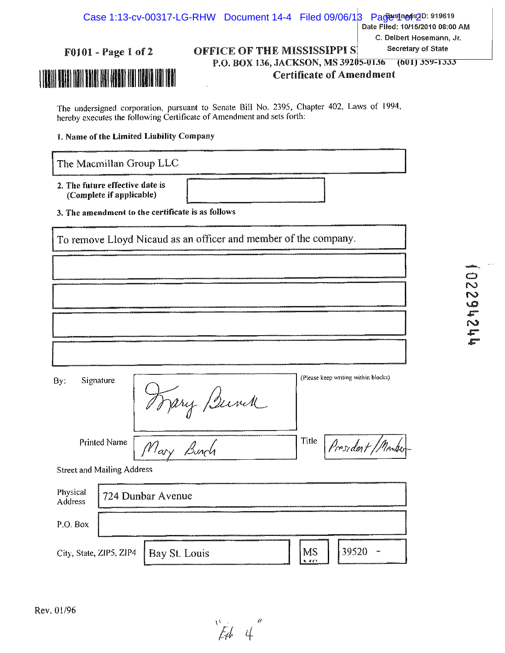| <b>F0101 - Page 1 of 2</b><br>THE REAL PRESENTED IN THE REAL PRESENT AND THE REAL PRESENT OF THE REAL PRESENT AND THE REAL PRESENT AND THE R<br>The real presented in the real present and the real present and the real present and the real present and the |                   |             | <b>OFFICE OF THE MISSISSIPPI S!</b><br>P.O. BOX 136, JACKSON, MS 39205-0136 |                                |                                     | <b>Certificate of Amendment</b> | C. Delbert Hosemann, Jr.<br>Secretary of State<br>$(601)$ 559-1555 |                                   |
|---------------------------------------------------------------------------------------------------------------------------------------------------------------------------------------------------------------------------------------------------------------|-------------------|-------------|-----------------------------------------------------------------------------|--------------------------------|-------------------------------------|---------------------------------|--------------------------------------------------------------------|-----------------------------------|
| The undersigned corporation, pursuant to Senate Bill No. 2395, Chapter 402, Laws of 1994,<br>hereby executes the following Certificate of Amendment and sets forth.<br>1. Name of the Limited Liability Company                                               |                   |             |                                                                             |                                |                                     |                                 |                                                                    |                                   |
| The Macmillan Group LLC                                                                                                                                                                                                                                       |                   |             |                                                                             |                                |                                     |                                 |                                                                    |                                   |
| 2. The future effective date is<br>(Complete if applicable)                                                                                                                                                                                                   |                   |             |                                                                             |                                |                                     |                                 |                                                                    |                                   |
| 3. The amendment to the certificate is as follows                                                                                                                                                                                                             |                   |             |                                                                             |                                |                                     |                                 |                                                                    |                                   |
| To remove Lloyd Nicaud as an officer and member of the company.                                                                                                                                                                                               |                   |             |                                                                             |                                |                                     |                                 |                                                                    |                                   |
|                                                                                                                                                                                                                                                               |                   |             |                                                                             |                                |                                     |                                 |                                                                    |                                   |
|                                                                                                                                                                                                                                                               |                   |             |                                                                             |                                |                                     |                                 |                                                                    | paastum.<br>Saasan<br>2<br>$\sim$ |
|                                                                                                                                                                                                                                                               |                   |             |                                                                             |                                |                                     |                                 |                                                                    | $\mathbf{P}$                      |
|                                                                                                                                                                                                                                                               |                   |             |                                                                             |                                |                                     |                                 |                                                                    | <b>Little</b>                     |
|                                                                                                                                                                                                                                                               |                   |             |                                                                             |                                |                                     |                                 |                                                                    |                                   |
| Signature<br>By:                                                                                                                                                                                                                                              |                   | Trany Bunch |                                                                             |                                | (Please keep writing within blocks) |                                 |                                                                    |                                   |
| <b>Printed Name</b>                                                                                                                                                                                                                                           | Mary Bunch        |             |                                                                             | Title                          |                                     | President/Member                |                                                                    |                                   |
| <b>Street and Mailing Address</b>                                                                                                                                                                                                                             |                   |             |                                                                             |                                |                                     |                                 |                                                                    |                                   |
| Physical<br>Address                                                                                                                                                                                                                                           | 724 Dunbar Avenue |             |                                                                             |                                |                                     |                                 |                                                                    |                                   |
| P.O. Box                                                                                                                                                                                                                                                      |                   |             |                                                                             |                                |                                     |                                 |                                                                    |                                   |
| City, State, ZIP5, ZIP4                                                                                                                                                                                                                                       | Bay St. Louis     |             |                                                                             | MS<br><b>A</b> <i>A</i> $\sim$ | 39520                               |                                 |                                                                    |                                   |

 $\frac{1}{4}$